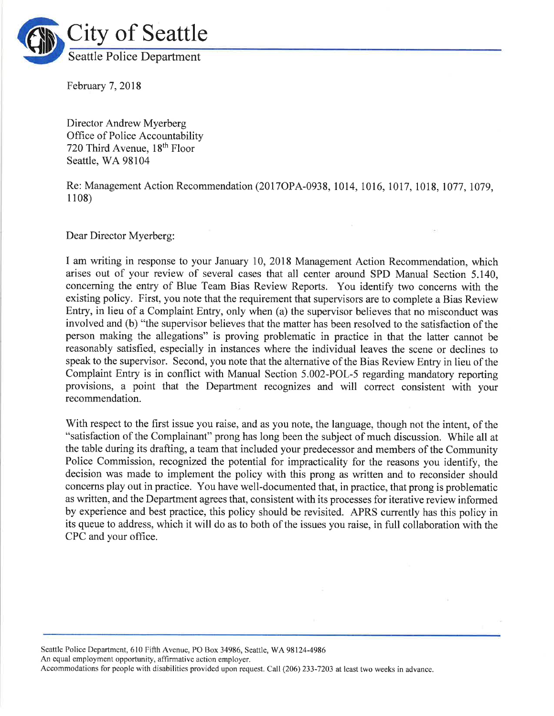

February 7,2018

Director Andrew Myerberg Office of Police Accountability 720 Third Avenue, 18<sup>th</sup> Floor Seattle, WA 98104

Re: Management Action Recommendation (2017OPA-0938, 1014, 1016, 1017, 1018, 1077, 1079, <sup>1</sup>108)

Dear Director Myerberg:

I am writing in response to your January 10, 2018 Management Action Recommendation, which arises out of your review of several cases that all center around SPD Manual Section 5.140, concerning the entry of Blue Team Bias Review Reports. You identify two concerns with the existing policy. First, you note that the requirement that supervisors are to complete a Bias Review Entry, in lieu of a Complaint Entry, only when (a) the supervisor believes that no misconduct was involved and (b) "the supervisor believes that the matter has been resolved to the satisfaction of the person making the allegations" is proving problematic in practice in that the latter cannot be reasonably satisfied, especially in instances where the individual leaves the scene or declines to speak to the supervisor. Second, you note that the alternative of the Bias Review Entry in lieu of the Complaint Entry is in conflict with Manual Section 5.002-POL-5 regarding mandatory reporting provisions, a point that the Department recognizes and will correct consistent with your recommendation.

With respect to the first issue you raise, and as you note, the language, though not the intent, of the "satisfaction of the Complainant" prong has long been the subject of much discussion. While all at the table during its drafting, a team that included your predecessor and members of the Community Police Commission, recognized the potential for impracticality for the reasons you identify, the decision was made to implement the policy with this prong as written and to reconsider should concems play out in practice. You have well-documented that, in practice, that prong is problematic as written, and the Department agrees that, consistent with its processes for iterative review informed by experience and best practice, this policy should be revisited. APRS currently has this policy in its queue to address, which it will do as to both of the issues you raise, in full collaboration with the CPC and your office.